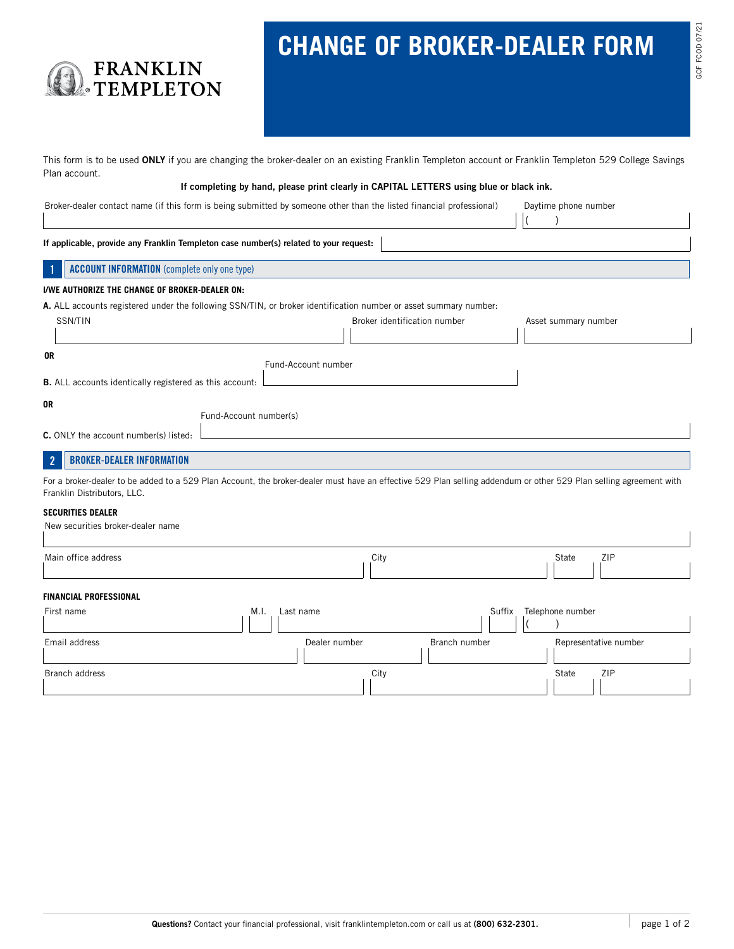# **CHANGE OF BROKER-DEALER FORM**

This form is to be used ONLY if you are changing the broker-dealer on an existing Franklin Templeton account or Franklin Templeton 529 College Savings Plan account.

#### If completing by hand, please print clearly in CAPITAL LETTERS using blue or black ink.

Broker-dealer contact name (if this form is being submitted by someone other than the listed financial professional) Daytime phone number

FRANKLIN<br>TEMPLETON

 $($   $)$ 

 $\Box$ 

| If applicable, provide any Franklin Templeton case number(s) related to your request:                                                                                                             |                              |                                               |  |  |
|---------------------------------------------------------------------------------------------------------------------------------------------------------------------------------------------------|------------------------------|-----------------------------------------------|--|--|
| <b>ACCOUNT INFORMATION</b> (complete only one type)<br>-1                                                                                                                                         |                              |                                               |  |  |
| I/WE AUTHORIZE THE CHANGE OF BROKER-DEALER ON:                                                                                                                                                    |                              |                                               |  |  |
| A. ALL accounts registered under the following SSN/TIN, or broker identification number or asset summary number:                                                                                  |                              |                                               |  |  |
| SSN/TIN                                                                                                                                                                                           | Broker identification number | Asset summary number                          |  |  |
|                                                                                                                                                                                                   |                              |                                               |  |  |
| 0R                                                                                                                                                                                                | Fund-Account number          |                                               |  |  |
| <b>B.</b> ALL accounts identically registered as this account:                                                                                                                                    |                              |                                               |  |  |
| 0R<br>Fund-Account number(s)                                                                                                                                                                      |                              |                                               |  |  |
| C. ONLY the account number(s) listed:                                                                                                                                                             |                              |                                               |  |  |
| $\overline{2}$<br><b>BROKER-DEALER INFORMATION</b>                                                                                                                                                |                              |                                               |  |  |
| For a broker-dealer to be added to a 529 Plan Account, the broker-dealer must have an effective 529 Plan selling addendum or other 529 Plan selling agreement with<br>Franklin Distributors, LLC. |                              |                                               |  |  |
| <b>SECURITIES DEALER</b>                                                                                                                                                                          |                              |                                               |  |  |
| New securities broker-dealer name                                                                                                                                                                 |                              |                                               |  |  |
| Main office address                                                                                                                                                                               | City                         | ZIP<br>State<br>$\mathbf{A}$ and $\mathbf{A}$ |  |  |

## **FINANCIAL PROFESSIONAL**

| FINANGIAL FRUFESSIUNAL |                  |               |                       |
|------------------------|------------------|---------------|-----------------------|
| First name             | M.1<br>Last name | Suffix        | Telephone number      |
|                        |                  |               |                       |
| Email address          | Dealer number    | Branch number | Representative number |
| Branch address         | City             |               | ZIP<br>State          |